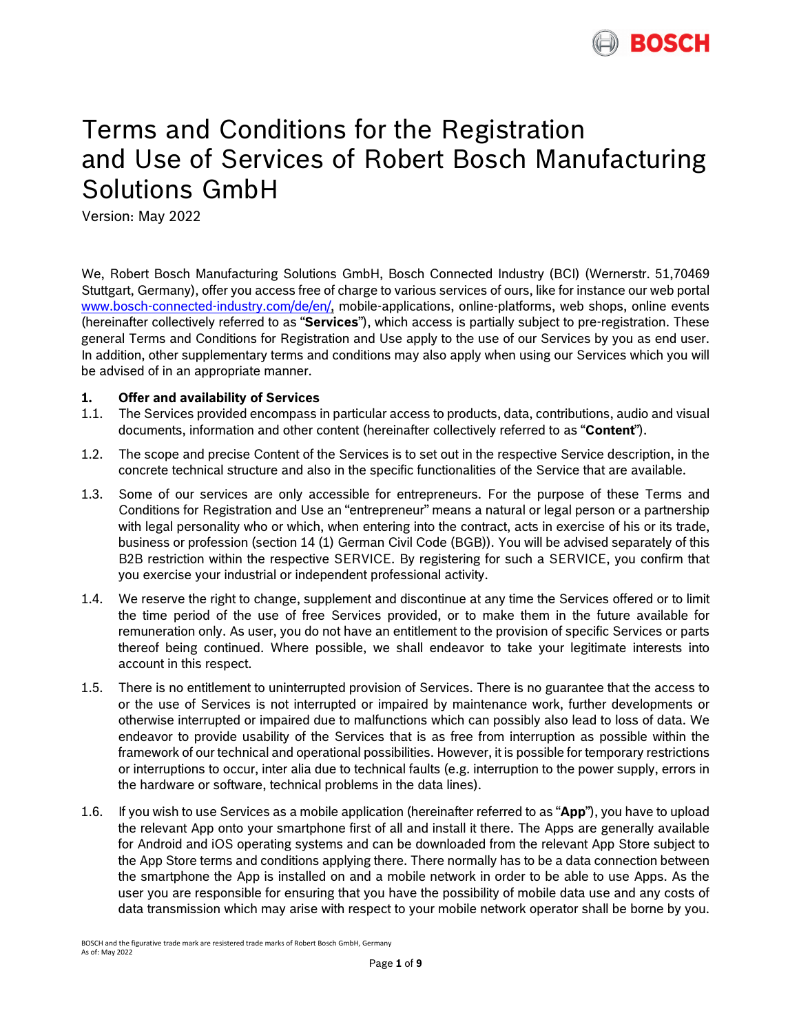

# Terms and Conditions for the Registration and Use of Services of Robert Bosch Manufacturing Solutions GmbH

Version: May 2022

We, Robert Bosch Manufacturing Solutions GmbH, Bosch Connected Industry (BCI) (Wernerstr. 51,70469 Stuttgart, Germany), offer you access free of charge to various services of ours, like for instance our web portal [www.bosch-connected-industry.com/de/en/,](https://www.bosch-connected-industry.com/de/en/) mobile-applications, online-platforms, web shops, online events (hereinafter collectively referred to as "**Services**"), which access is partially subject to pre-registration. These general Terms and Conditions for Registration and Use apply to the use of our Services by you as end user. In addition, other supplementary terms and conditions may also apply when using our Services which you will be advised of in an appropriate manner.

#### **1. Offer and availability of Services**

- 1.1. The Services provided encompass in particular access to products, data, contributions, audio and visual documents, information and other content (hereinafter collectively referred to as "**Content**").
- 1.2. The scope and precise Content of the Services is to set out in the respective Service description, in the concrete technical structure and also in the specific functionalities of the Service that are available.
- 1.3. Some of our services are only accessible for entrepreneurs. For the purpose of these Terms and Conditions for Registration and Use an "entrepreneur" means a natural or legal person or a partnership with legal personality who or which, when entering into the contract, acts in exercise of his or its trade, business or profession (section 14 (1) German Civil Code (BGB)). You will be advised separately of this B2B restriction within the respective SERVICE. By registering for such a SERVICE, you confirm that you exercise your industrial or independent professional activity.
- 1.4. We reserve the right to change, supplement and discontinue at any time the Services offered or to limit the time period of the use of free Services provided, or to make them in the future available for remuneration only. As user, you do not have an entitlement to the provision of specific Services or parts thereof being continued. Where possible, we shall endeavor to take your legitimate interests into account in this respect.
- 1.5. There is no entitlement to uninterrupted provision of Services. There is no guarantee that the access to or the use of Services is not interrupted or impaired by maintenance work, further developments or otherwise interrupted or impaired due to malfunctions which can possibly also lead to loss of data. We endeavor to provide usability of the Services that is as free from interruption as possible within the framework of our technical and operational possibilities. However, it is possible for temporary restrictions or interruptions to occur, inter alia due to technical faults (e.g. interruption to the power supply, errors in the hardware or software, technical problems in the data lines).
- 1.6. If you wish to use Services as a mobile application (hereinafter referred to as "**App**"), you have to upload the relevant App onto your smartphone first of all and install it there. The Apps are generally available for Android and iOS operating systems and can be downloaded from the relevant App Store subject to the App Store terms and conditions applying there. There normally has to be a data connection between the smartphone the App is installed on and a mobile network in order to be able to use Apps. As the user you are responsible for ensuring that you have the possibility of mobile data use and any costs of data transmission which may arise with respect to your mobile network operator shall be borne by you.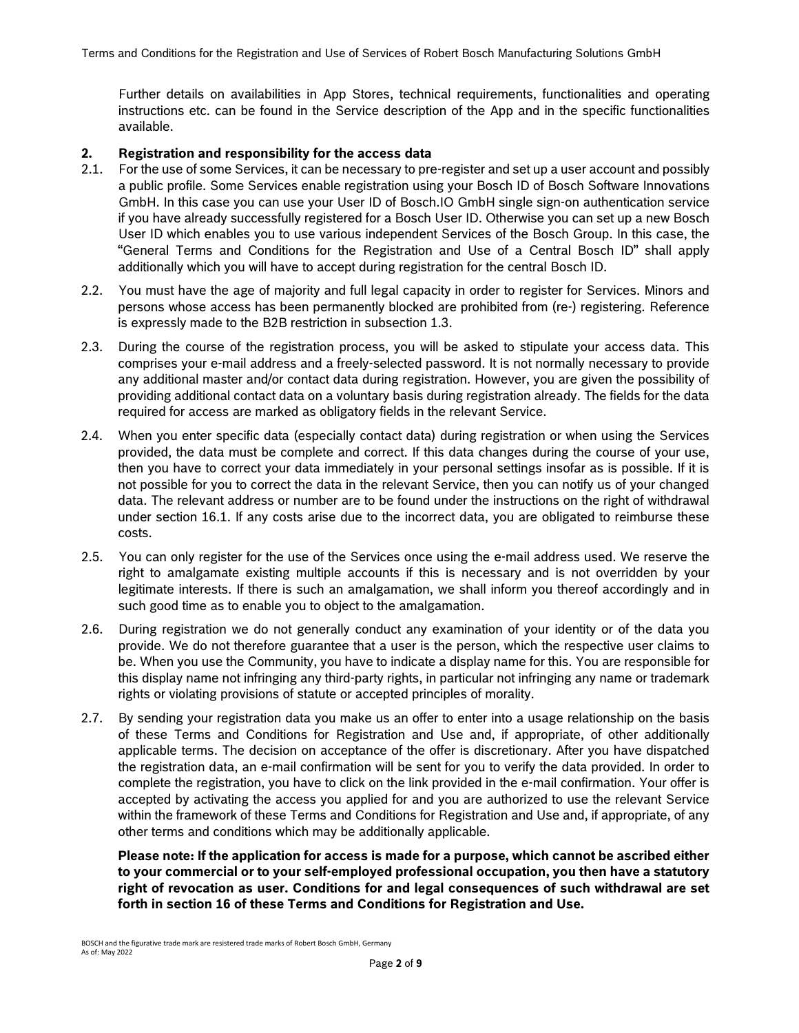Further details on availabilities in App Stores, technical requirements, functionalities and operating instructions etc. can be found in the Service description of the App and in the specific functionalities available.

#### **2. Registration and responsibility for the access data**

- 2.1. For the use of some Services, it can be necessary to pre-register and set up a user account and possibly a public profile. Some Services enable registration using your Bosch ID of Bosch Software Innovations GmbH. In this case you can use your User ID of Bosch.IO GmbH single sign-on authentication service if you have already successfully registered for a Bosch User ID. Otherwise you can set up a new Bosch User ID which enables you to use various independent Services of the Bosch Group. In this case, the "General Terms and Conditions for the Registration and Use of a Central Bosch ID" shall apply additionally which you will have to accept during registration for the central Bosch ID.
- 2.2. You must have the age of majority and full legal capacity in order to register for Services. Minors and persons whose access has been permanently blocked are prohibited from (re-) registering. Reference is expressly made to the B2B restriction in subsection 1.3.
- 2.3. During the course of the registration process, you will be asked to stipulate your access data. This comprises your e-mail address and a freely-selected password. It is not normally necessary to provide any additional master and/or contact data during registration. However, you are given the possibility of providing additional contact data on a voluntary basis during registration already. The fields for the data required for access are marked as obligatory fields in the relevant Service.
- 2.4. When you enter specific data (especially contact data) during registration or when using the Services provided, the data must be complete and correct. If this data changes during the course of your use, then you have to correct your data immediately in your personal settings insofar as is possible. If it is not possible for you to correct the data in the relevant Service, then you can notify us of your changed data. The relevant address or number are to be found under the instructions on the right of withdrawal under section 16.1. If any costs arise due to the incorrect data, you are obligated to reimburse these costs.
- 2.5. You can only register for the use of the Services once using the e-mail address used. We reserve the right to amalgamate existing multiple accounts if this is necessary and is not overridden by your legitimate interests. If there is such an amalgamation, we shall inform you thereof accordingly and in such good time as to enable you to object to the amalgamation.
- 2.6. During registration we do not generally conduct any examination of your identity or of the data you provide. We do not therefore guarantee that a user is the person, which the respective user claims to be. When you use the Community, you have to indicate a display name for this. You are responsible for this display name not infringing any third-party rights, in particular not infringing any name or trademark rights or violating provisions of statute or accepted principles of morality.
- <span id="page-1-0"></span>2.7. By sending your registration data you make us an offer to enter into a usage relationship on the basis of these Terms and Conditions for Registration and Use and, if appropriate, of other additionally applicable terms. The decision on acceptance of the offer is discretionary. After you have dispatched the registration data, an e-mail confirmation will be sent for you to verify the data provided. In order to complete the registration, you have to click on the link provided in the e-mail confirmation. Your offer is accepted by activating the access you applied for and you are authorized to use the relevant Service within the framework of these Terms and Conditions for Registration and Use and, if appropriate, of any other terms and conditions which may be additionally applicable.

**Please note: If the application for access is made for a purpose, which cannot be ascribed either to your commercial or to your self-employed professional occupation, you then have a statutory right of revocation as user. Conditions for and legal consequences of such withdrawal are set forth in section 16 of these Terms and Conditions for Registration and Use.**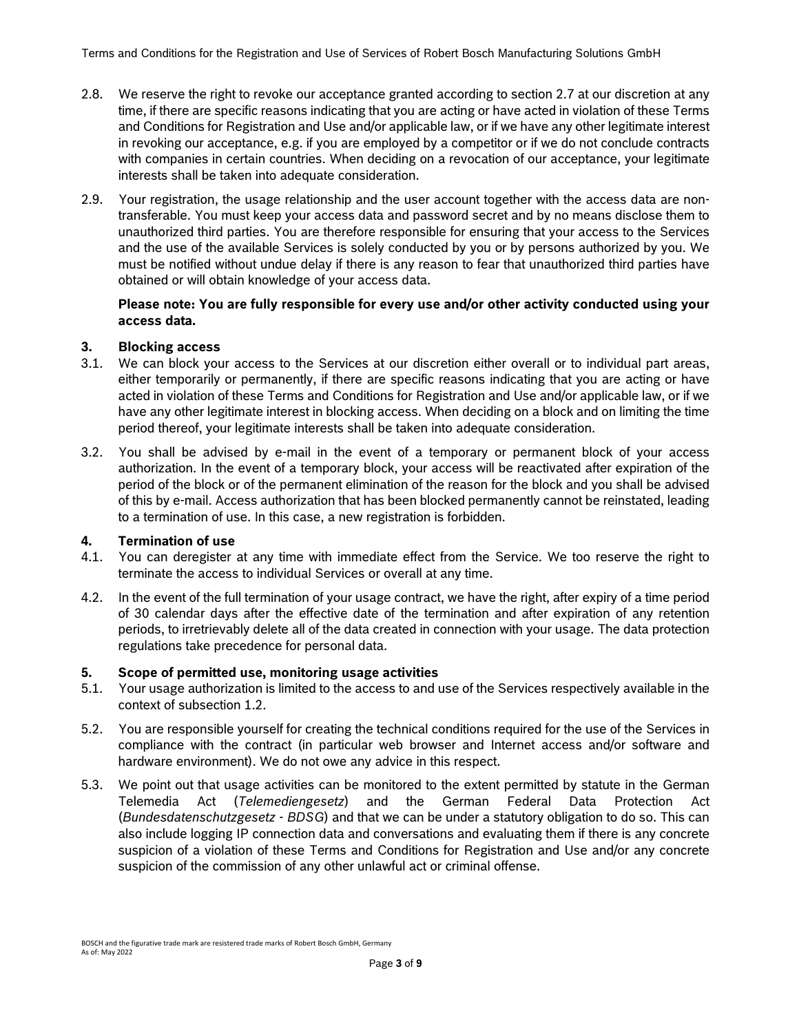- 2.8. We reserve the right to revoke our acceptance granted according to section [2.7](#page-1-0) at our discretion at any time, if there are specific reasons indicating that you are acting or have acted in violation of these Terms and Conditions for Registration and Use and/or applicable law, or if we have any other legitimate interest in revoking our acceptance, e.g. if you are employed by a competitor or if we do not conclude contracts with companies in certain countries. When deciding on a revocation of our acceptance, your legitimate interests shall be taken into adequate consideration.
- 2.9. Your registration, the usage relationship and the user account together with the access data are nontransferable. You must keep your access data and password secret and by no means disclose them to unauthorized third parties. You are therefore responsible for ensuring that your access to the Services and the use of the available Services is solely conducted by you or by persons authorized by you. We must be notified without undue delay if there is any reason to fear that unauthorized third parties have obtained or will obtain knowledge of your access data.

#### **Please note: You are fully responsible for every use and/or other activity conducted using your access data.**

# **3. Blocking access**

- 3.1. We can block your access to the Services at our discretion either overall or to individual part areas, either temporarily or permanently, if there are specific reasons indicating that you are acting or have acted in violation of these Terms and Conditions for Registration and Use and/or applicable law, or if we have any other legitimate interest in blocking access. When deciding on a block and on limiting the time period thereof, your legitimate interests shall be taken into adequate consideration.
- 3.2. You shall be advised by e-mail in the event of a temporary or permanent block of your access authorization. In the event of a temporary block, your access will be reactivated after expiration of the period of the block or of the permanent elimination of the reason for the block and you shall be advised of this by e-mail. Access authorization that has been blocked permanently cannot be reinstated, leading to a termination of use. In this case, a new registration is forbidden.

# **4. Termination of use**

- 4.1. You can deregister at any time with immediate effect from the Service. We too reserve the right to terminate the access to individual Services or overall at any time.
- 4.2. In the event of the full termination of your usage contract, we have the right, after expiry of a time period of 30 calendar days after the effective date of the termination and after expiration of any retention periods, to irretrievably delete all of the data created in connection with your usage. The data protection regulations take precedence for personal data.

# **5. Scope of permitted use, monitoring usage activities**

- 5.1. Your usage authorization is limited to the access to and use of the Services respectively available in the context of subsection 1.2.
- 5.2. You are responsible yourself for creating the technical conditions required for the use of the Services in compliance with the contract (in particular web browser and Internet access and/or software and hardware environment). We do not owe any advice in this respect.
- 5.3. We point out that usage activities can be monitored to the extent permitted by statute in the German Telemedia Act (*Telemediengesetz*) and the German Federal Data Protection Act (*Bundesdatenschutzgesetz* - *BDSG*) and that we can be under a statutory obligation to do so. This can also include logging IP connection data and conversations and evaluating them if there is any concrete suspicion of a violation of these Terms and Conditions for Registration and Use and/or any concrete suspicion of the commission of any other unlawful act or criminal offense.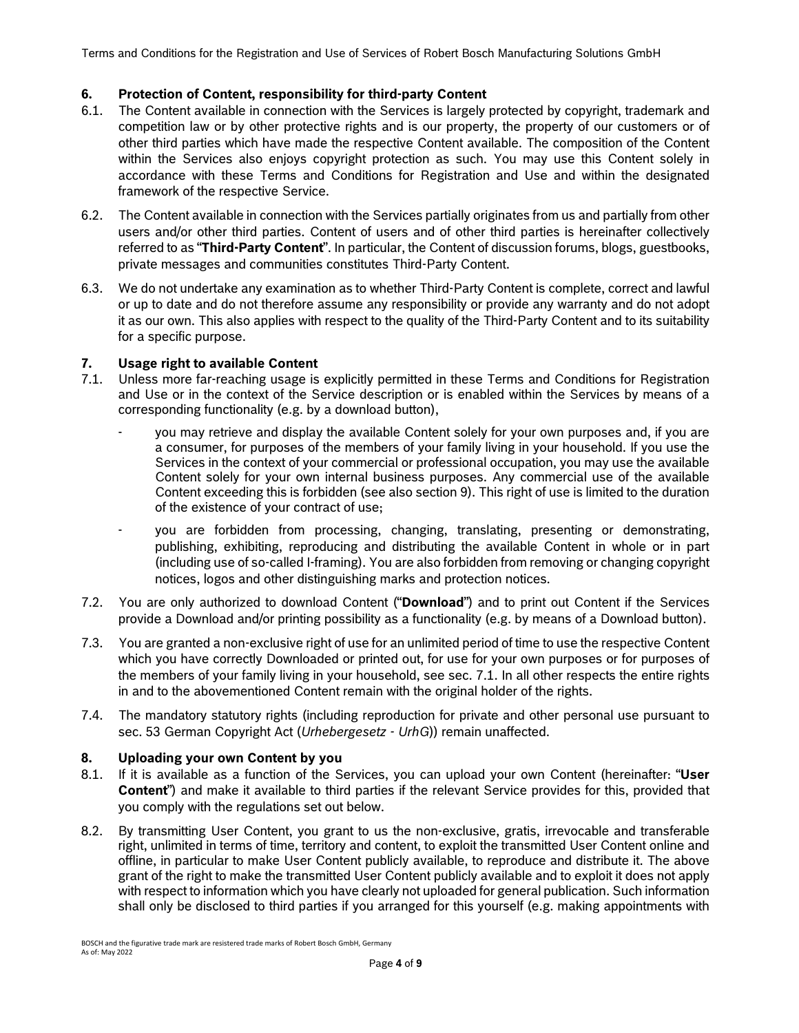Terms and Conditions for the Registration and Use of Services of Robert Bosch Manufacturing Solutions GmbH

# **6. Protection of Content, responsibility for third-party Content**

- 6.1. The Content available in connection with the Services is largely protected by copyright, trademark and competition law or by other protective rights and is our property, the property of our customers or of other third parties which have made the respective Content available. The composition of the Content within the Services also enjoys copyright protection as such. You may use this Content solely in accordance with these Terms and Conditions for Registration and Use and within the designated framework of the respective Service.
- 6.2. The Content available in connection with the Services partially originates from us and partially from other users and/or other third parties. Content of users and of other third parties is hereinafter collectively referred to as "**Third-Party Content**". In particular, the Content of discussion forums, blogs, guestbooks, private messages and communities constitutes Third-Party Content.
- 6.3. We do not undertake any examination as to whether Third-Party Content is complete, correct and lawful or up to date and do not therefore assume any responsibility or provide any warranty and do not adopt it as our own. This also applies with respect to the quality of the Third-Party Content and to its suitability for a specific purpose.

#### **7. Usage right to available Content**

- 7.1. Unless more far-reaching usage is explicitly permitted in these Terms and Conditions for Registration and Use or in the context of the Service description or is enabled within the Services by means of a corresponding functionality (e.g. by a download button),
	- you may retrieve and display the available Content solely for your own purposes and, if you are a consumer, for purposes of the members of your family living in your household. If you use the Services in the context of your commercial or professional occupation, you may use the available Content solely for your own internal business purposes. Any commercial use of the available Content exceeding this is forbidden (see also section 9). This right of use is limited to the duration of the existence of your contract of use;
	- you are forbidden from processing, changing, translating, presenting or demonstrating, publishing, exhibiting, reproducing and distributing the available Content in whole or in part (including use of so-called I-framing). You are also forbidden from removing or changing copyright notices, logos and other distinguishing marks and protection notices.
- 7.2. You are only authorized to download Content ("**Download**") and to print out Content if the Services provide a Download and/or printing possibility as a functionality (e.g. by means of a Download button).
- 7.3. You are granted a non-exclusive right of use for an unlimited period of time to use the respective Content which you have correctly Downloaded or printed out, for use for your own purposes or for purposes of the members of your family living in your household, see sec. 7.1. In all other respects the entire rights in and to the abovementioned Content remain with the original holder of the rights.
- 7.4. The mandatory statutory rights (including reproduction for private and other personal use pursuant to sec. 53 German Copyright Act (*Urhebergesetz - UrhG*)) remain unaffected.

#### **8. Uploading your own Content by you**

- 8.1. If it is available as a function of the Services, you can upload your own Content (hereinafter: "**User Content**") and make it available to third parties if the relevant Service provides for this, provided that you comply with the regulations set out below.
- 8.2. By transmitting User Content, you grant to us the non-exclusive, gratis, irrevocable and transferable right, unlimited in terms of time, territory and content, to exploit the transmitted User Content online and offline, in particular to make User Content publicly available, to reproduce and distribute it. The above grant of the right to make the transmitted User Content publicly available and to exploit it does not apply with respect to information which you have clearly not uploaded for general publication. Such information shall only be disclosed to third parties if you arranged for this yourself (e.g. making appointments with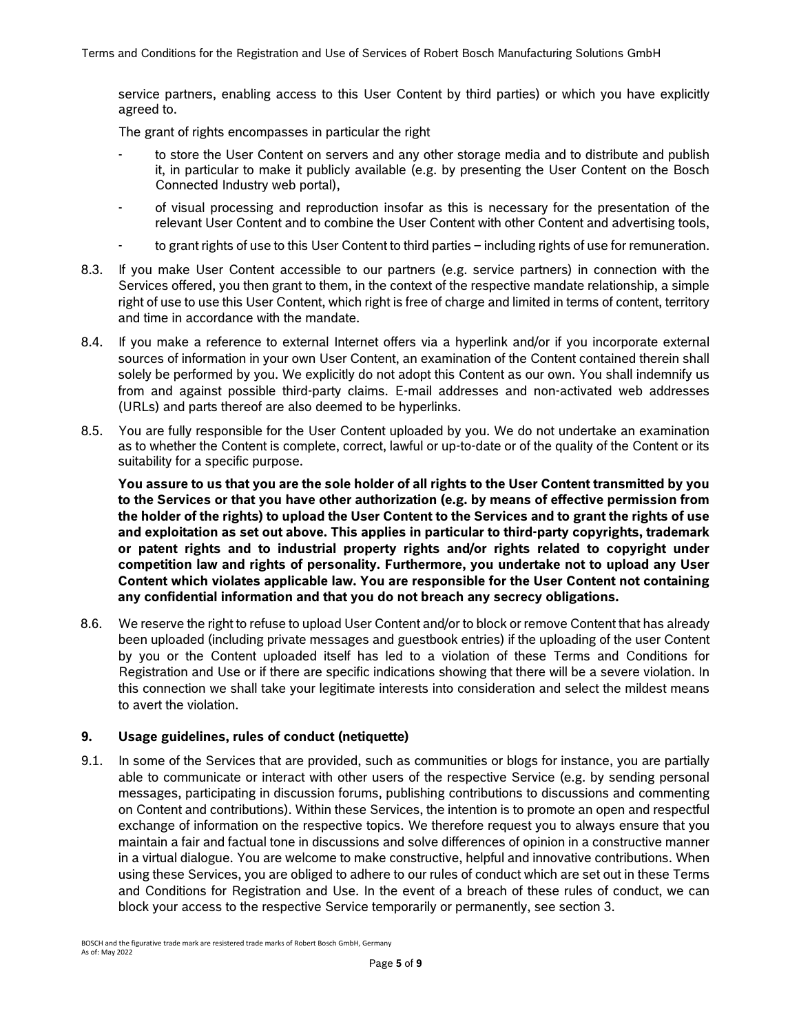service partners, enabling access to this User Content by third parties) or which you have explicitly agreed to.

The grant of rights encompasses in particular the right

- to store the User Content on servers and any other storage media and to distribute and publish it, in particular to make it publicly available (e.g. by presenting the User Content on the Bosch Connected Industry web portal),
- of visual processing and reproduction insofar as this is necessary for the presentation of the relevant User Content and to combine the User Content with other Content and advertising tools,
- to grant rights of use to this User Content to third parties including rights of use for remuneration.
- 8.3. If you make User Content accessible to our partners (e.g. service partners) in connection with the Services offered, you then grant to them, in the context of the respective mandate relationship, a simple right of use to use this User Content, which right is free of charge and limited in terms of content, territory and time in accordance with the mandate.
- 8.4. If you make a reference to external Internet offers via a hyperlink and/or if you incorporate external sources of information in your own User Content, an examination of the Content contained therein shall solely be performed by you. We explicitly do not adopt this Content as our own. You shall indemnify us from and against possible third-party claims. E-mail addresses and non-activated web addresses (URLs) and parts thereof are also deemed to be hyperlinks.
- 8.5. You are fully responsible for the User Content uploaded by you. We do not undertake an examination as to whether the Content is complete, correct, lawful or up-to-date or of the quality of the Content or its suitability for a specific purpose.

**You assure to us that you are the sole holder of all rights to the User Content transmitted by you to the Services or that you have other authorization (e.g. by means of effective permission from the holder of the rights) to upload the User Content to the Services and to grant the rights of use and exploitation as set out above. This applies in particular to third-party copyrights, trademark or patent rights and to industrial property rights and/or rights related to copyright under competition law and rights of personality. Furthermore, you undertake not to upload any User Content which violates applicable law. You are responsible for the User Content not containing any confidential information and that you do not breach any secrecy obligations.** 

8.6. We reserve the right to refuse to upload User Content and/or to block or remove Content that has already been uploaded (including private messages and guestbook entries) if the uploading of the user Content by you or the Content uploaded itself has led to a violation of these Terms and Conditions for Registration and Use or if there are specific indications showing that there will be a severe violation. In this connection we shall take your legitimate interests into consideration and select the mildest means to avert the violation.

# **9. Usage guidelines, rules of conduct (netiquette)**

9.1. In some of the Services that are provided, such as communities or blogs for instance, you are partially able to communicate or interact with other users of the respective Service (e.g. by sending personal messages, participating in discussion forums, publishing contributions to discussions and commenting on Content and contributions). Within these Services, the intention is to promote an open and respectful exchange of information on the respective topics. We therefore request you to always ensure that you maintain a fair and factual tone in discussions and solve differences of opinion in a constructive manner in a virtual dialogue. You are welcome to make constructive, helpful and innovative contributions. When using these Services, you are obliged to adhere to our rules of conduct which are set out in these Terms and Conditions for Registration and Use. In the event of a breach of these rules of conduct, we can block your access to the respective Service temporarily or permanently, see section 3.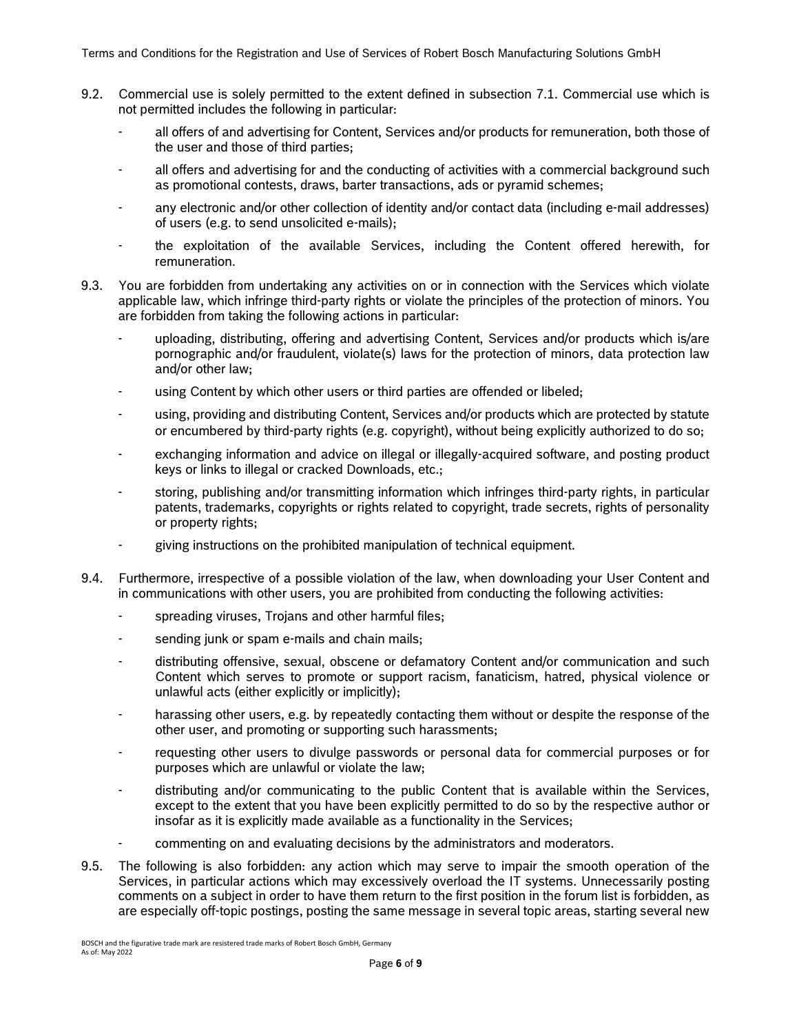- 9.2. Commercial use is solely permitted to the extent defined in subsection 7.1. Commercial use which is not permitted includes the following in particular:
	- all offers of and advertising for Content, Services and/or products for remuneration, both those of the user and those of third parties;
	- all offers and advertising for and the conducting of activities with a commercial background such as promotional contests, draws, barter transactions, ads or pyramid schemes;
	- any electronic and/or other collection of identity and/or contact data (including e-mail addresses) of users (e.g. to send unsolicited e-mails);
	- the exploitation of the available Services, including the Content offered herewith, for remuneration.
- 9.3. You are forbidden from undertaking any activities on or in connection with the Services which violate applicable law, which infringe third-party rights or violate the principles of the protection of minors. You are forbidden from taking the following actions in particular:
	- uploading, distributing, offering and advertising Content, Services and/or products which is/are pornographic and/or fraudulent, violate(s) laws for the protection of minors, data protection law and/or other law;
	- using Content by which other users or third parties are offended or libeled;
	- using, providing and distributing Content, Services and/or products which are protected by statute or encumbered by third-party rights (e.g. copyright), without being explicitly authorized to do so;
	- exchanging information and advice on illegal or illegally-acquired software, and posting product keys or links to illegal or cracked Downloads, etc.;
	- storing, publishing and/or transmitting information which infringes third-party rights, in particular patents, trademarks, copyrights or rights related to copyright, trade secrets, rights of personality or property rights;
	- giving instructions on the prohibited manipulation of technical equipment.
- 9.4. Furthermore, irrespective of a possible violation of the law, when downloading your User Content and in communications with other users, you are prohibited from conducting the following activities:
	- spreading viruses, Trojans and other harmful files;
	- sending junk or spam e-mails and chain mails;
	- distributing offensive, sexual, obscene or defamatory Content and/or communication and such Content which serves to promote or support racism, fanaticism, hatred, physical violence or unlawful acts (either explicitly or implicitly);
	- harassing other users, e.g. by repeatedly contacting them without or despite the response of the other user, and promoting or supporting such harassments;
	- requesting other users to divulge passwords or personal data for commercial purposes or for purposes which are unlawful or violate the law;
	- distributing and/or communicating to the public Content that is available within the Services, except to the extent that you have been explicitly permitted to do so by the respective author or insofar as it is explicitly made available as a functionality in the Services;
	- commenting on and evaluating decisions by the administrators and moderators.
- 9.5. The following is also forbidden: any action which may serve to impair the smooth operation of the Services, in particular actions which may excessively overload the IT systems. Unnecessarily posting comments on a subject in order to have them return to the first position in the forum list is forbidden, as are especially off-topic postings, posting the same message in several topic areas, starting several new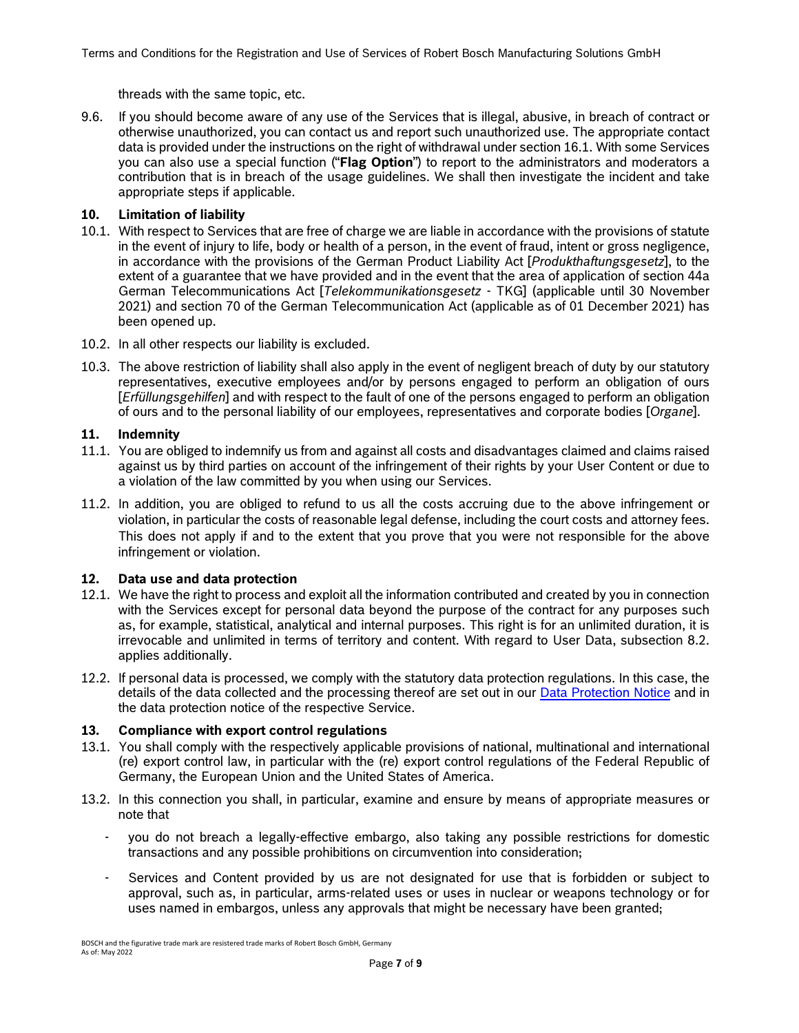threads with the same topic, etc.

9.6. If you should become aware of any use of the Services that is illegal, abusive, in breach of contract or otherwise unauthorized, you can contact us and report such unauthorized use. The appropriate contact data is provided under the instructions on the right of withdrawal under section 16.1. With some Services you can also use a special function ("**Flag Option**") to report to the administrators and moderators a contribution that is in breach of the usage guidelines. We shall then investigate the incident and take appropriate steps if applicable.

# **10. Limitation of liability**

- 10.1. With respect to Services that are free of charge we are liable in accordance with the provisions of statute in the event of injury to life, body or health of a person, in the event of fraud, intent or gross negligence, in accordance with the provisions of the German Product Liability Act [*Produkthaftungsgesetz*], to the extent of a guarantee that we have provided and in the event that the area of application of section 44a German Telecommunications Act [*Telekommunikationsgesetz* - TKG] (applicable until 30 November 2021) and section 70 of the German Telecommunication Act (applicable as of 01 December 2021) has been opened up.
- 10.2. In all other respects our liability is excluded.
- 10.3. The above restriction of liability shall also apply in the event of negligent breach of duty by our statutory representatives, executive employees and/or by persons engaged to perform an obligation of ours [*Erfüllungsgehilfen*] and with respect to the fault of one of the persons engaged to perform an obligation of ours and to the personal liability of our employees, representatives and corporate bodies [*Organe*].

#### **11. Indemnity**

- 11.1. You are obliged to indemnify us from and against all costs and disadvantages claimed and claims raised against us by third parties on account of the infringement of their rights by your User Content or due to a violation of the law committed by you when using our Services.
- 11.2. In addition, you are obliged to refund to us all the costs accruing due to the above infringement or violation, in particular the costs of reasonable legal defense, including the court costs and attorney fees. This does not apply if and to the extent that you prove that you were not responsible for the above infringement or violation.

# **12. Data use and data protection**

- 12.1. We have the right to process and exploit all the information contributed and created by you in connection with the Services except for personal data beyond the purpose of the contract for any purposes such as, for example, statistical, analytical and internal purposes. This right is for an unlimited duration, it is irrevocable and unlimited in terms of territory and content. With regard to User Data, subsection 8.2. applies additionally.
- 12.2. If personal data is processed, we comply with the statutory data protection regulations. In this case, the details of the data collected and the processing thereof are set out in our [Data Protection Notice](https://www.bosch-connected-industry.com/de/en/data-protection-policy/index.html) and in the data protection notice of the respective Service.

# **13. Compliance with export control regulations**

- 13.1. You shall comply with the respectively applicable provisions of national, multinational and international (re) export control law, in particular with the (re) export control regulations of the Federal Republic of Germany, the European Union and the United States of America.
- 13.2. In this connection you shall, in particular, examine and ensure by means of appropriate measures or note that
	- you do not breach a legally-effective embargo, also taking any possible restrictions for domestic transactions and any possible prohibitions on circumvention into consideration;
	- Services and Content provided by us are not designated for use that is forbidden or subject to approval, such as, in particular, arms-related uses or uses in nuclear or weapons technology or for uses named in embargos, unless any approvals that might be necessary have been granted;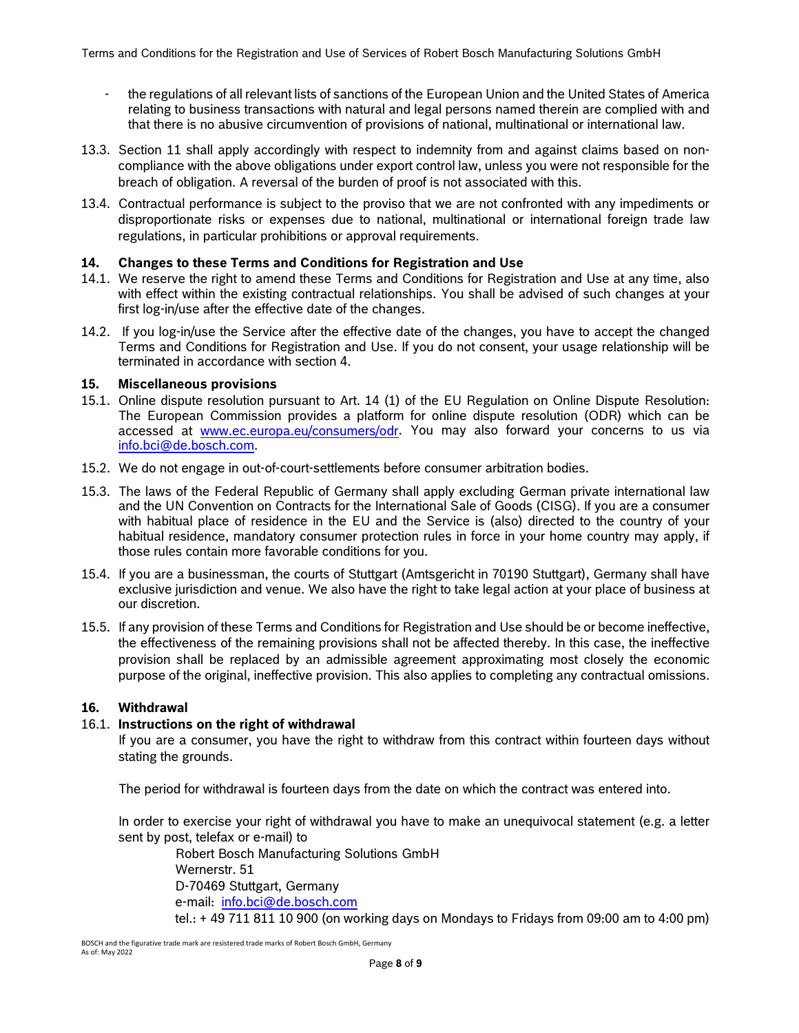- the regulations of all relevant lists of sanctions of the European Union and the United States of America relating to business transactions with natural and legal persons named therein are complied with and that there is no abusive circumvention of provisions of national, multinational or international law.
- 13.3. Section 11 shall apply accordingly with respect to indemnity from and against claims based on noncompliance with the above obligations under export control law, unless you were not responsible for the breach of obligation. A reversal of the burden of proof is not associated with this.
- 13.4. Contractual performance is subject to the proviso that we are not confronted with any impediments or disproportionate risks or expenses due to national, multinational or international foreign trade law regulations, in particular prohibitions or approval requirements.

# **14. Changes to these Terms and Conditions for Registration and Use**

- 14.1. We reserve the right to amend these Terms and Conditions for Registration and Use at any time, also with effect within the existing contractual relationships. You shall be advised of such changes at your first log-in/use after the effective date of the changes.
- 14.2. If you log-in/use the Service after the effective date of the changes, you have to accept the changed Terms and Conditions for Registration and Use. If you do not consent, your usage relationship will be terminated in accordance with section 4.

#### **15. Miscellaneous provisions**

- 15.1. Online dispute resolution pursuant to Art. 14 (1) of the EU Regulation on Online Dispute Resolution: The European Commission provides a platform for online dispute resolution (ODR) which can be accessed at [www.ec.europa.eu/consumers/odr.](http://www.ec.europa.eu/consumers/odr) You may also forward your concerns to us via [info.bci@de.bosch.com.](mailto:info.bci@de.bosch.com)
- 15.2. We do not engage in out-of-court-settlements before consumer arbitration bodies.
- 15.3. The laws of the Federal Republic of Germany shall apply excluding German private international law and the UN Convention on Contracts for the International Sale of Goods (CISG). If you are a consumer with habitual place of residence in the EU and the Service is (also) directed to the country of your habitual residence, mandatory consumer protection rules in force in your home country may apply, if those rules contain more favorable conditions for you.
- 15.4. If you are a businessman, the courts of Stuttgart (Amtsgericht in 70190 Stuttgart), Germany shall have exclusive jurisdiction and venue. We also have the right to take legal action at your place of business at our discretion.
- 15.5. If any provision of these Terms and Conditions for Registration and Use should be or become ineffective, the effectiveness of the remaining provisions shall not be affected thereby. In this case, the ineffective provision shall be replaced by an admissible agreement approximating most closely the economic purpose of the original, ineffective provision. This also applies to completing any contractual omissions.

# **16. Withdrawal**

# 16.1. **Instructions on the right of withdrawal**

If you are a consumer, you have the right to withdraw from this contract within fourteen days without stating the grounds.

The period for withdrawal is fourteen days from the date on which the contract was entered into.

In order to exercise your right of withdrawal you have to make an unequivocal statement (e.g. a letter sent by post, telefax or e-mail) to

Robert Bosch Manufacturing Solutions GmbH Wernerstr. 51 D-70469 Stuttgart, Germany e-mail: [info.bci@de.bosch.com](mailto:info.bci@de.bosch.com) tel.: + 49 711 811 10 900 (on working days on Mondays to Fridays from 09:00 am to 4:00 pm)